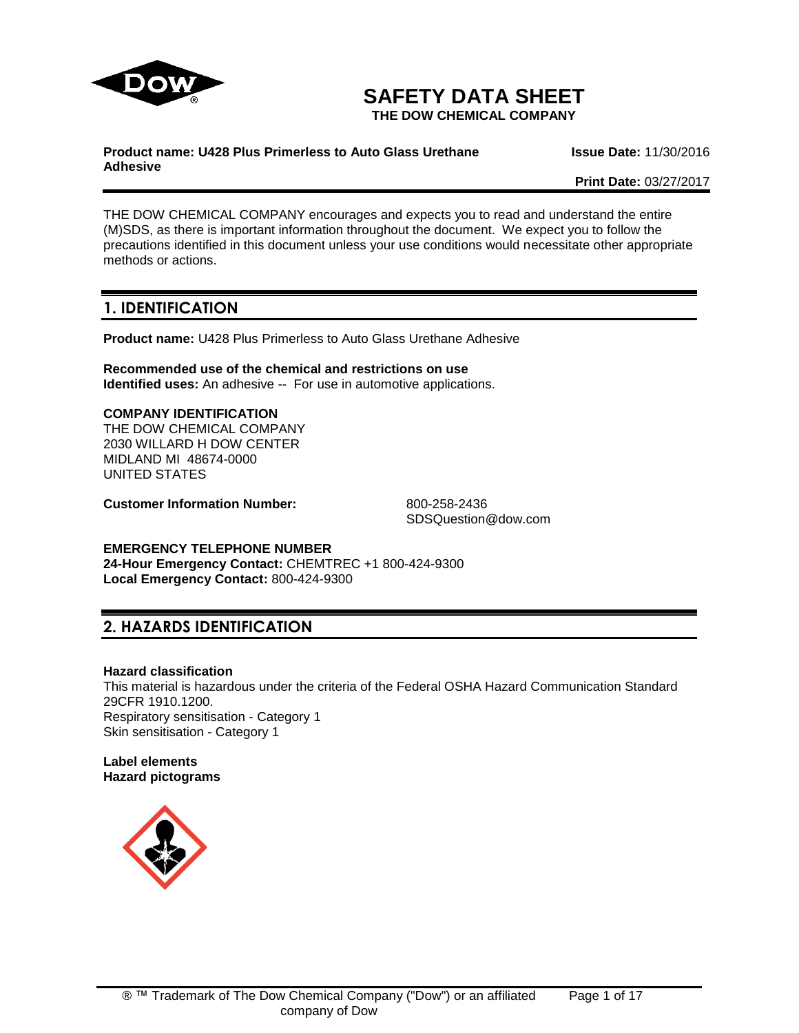

# **SAFETY DATA SHEET**

**THE DOW CHEMICAL COMPANY**

#### **Product name: U428 Plus Primerless to Auto Glass Urethane Adhesive**

**Issue Date:** 11/30/2016

**Print Date:** 03/27/2017

THE DOW CHEMICAL COMPANY encourages and expects you to read and understand the entire (M)SDS, as there is important information throughout the document. We expect you to follow the precautions identified in this document unless your use conditions would necessitate other appropriate methods or actions.

# **1. IDENTIFICATION**

**Product name:** U428 Plus Primerless to Auto Glass Urethane Adhesive

**Recommended use of the chemical and restrictions on use Identified uses:** An adhesive -- For use in automotive applications.

# **COMPANY IDENTIFICATION**

THE DOW CHEMICAL COMPANY 2030 WILLARD H DOW CENTER MIDLAND MI 48674-0000 UNITED STATES

**Customer Information Number:** 800-258-2436

SDSQuestion@dow.com

# **EMERGENCY TELEPHONE NUMBER**

**24-Hour Emergency Contact:** CHEMTREC +1 800-424-9300 **Local Emergency Contact:** 800-424-9300

# **2. HAZARDS IDENTIFICATION**

#### **Hazard classification**

This material is hazardous under the criteria of the Federal OSHA Hazard Communication Standard 29CFR 1910.1200. Respiratory sensitisation - Category 1 Skin sensitisation - Category 1

#### **Label elements Hazard pictograms**

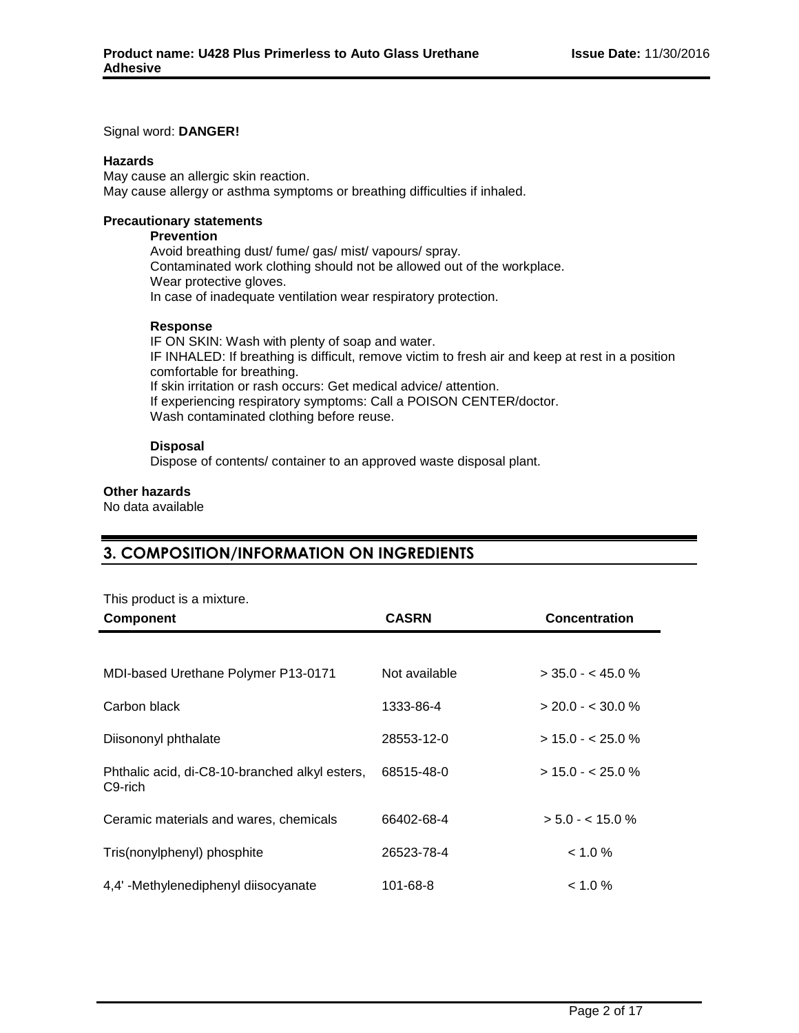#### Signal word: **DANGER!**

#### **Hazards**

May cause an allergic skin reaction. May cause allergy or asthma symptoms or breathing difficulties if inhaled.

#### **Precautionary statements**

## **Prevention**

Avoid breathing dust/ fume/ gas/ mist/ vapours/ spray. Contaminated work clothing should not be allowed out of the workplace. Wear protective gloves. In case of inadequate ventilation wear respiratory protection.

#### **Response**

IF ON SKIN: Wash with plenty of soap and water. IF INHALED: If breathing is difficult, remove victim to fresh air and keep at rest in a position comfortable for breathing. If skin irritation or rash occurs: Get medical advice/ attention. If experiencing respiratory symptoms: Call a POISON CENTER/doctor. Wash contaminated clothing before reuse.

#### **Disposal**

Dispose of contents/ container to an approved waste disposal plant.

#### **Other hazards**

No data available

# **3. COMPOSITION/INFORMATION ON INGREDIENTS**

This product is a mixture.

| <b>Component</b>                                                       | <b>CASRN</b>  | Concentration       |
|------------------------------------------------------------------------|---------------|---------------------|
|                                                                        |               |                     |
| MDI-based Urethane Polymer P13-0171                                    | Not available | $>$ 35.0 - < 45.0 % |
| Carbon black                                                           | 1333-86-4     | $> 20.0 - 5.30.0 %$ |
| Diisononyl phthalate                                                   | 28553-12-0    | $> 15.0 - 25.0 %$   |
| Phthalic acid, di-C8-10-branched alkyl esters,<br>C <sub>9</sub> -rich | 68515-48-0    | $> 15.0 - 25.0 %$   |
| Ceramic materials and wares, chemicals                                 | 66402-68-4    | $> 5.0 - < 15.0 %$  |
| Tris(nonylphenyl) phosphite                                            | 26523-78-4    | $< 1.0 \%$          |
| 4,4'-Methylenediphenyl diisocyanate                                    | 101-68-8      | $< 1.0 \%$          |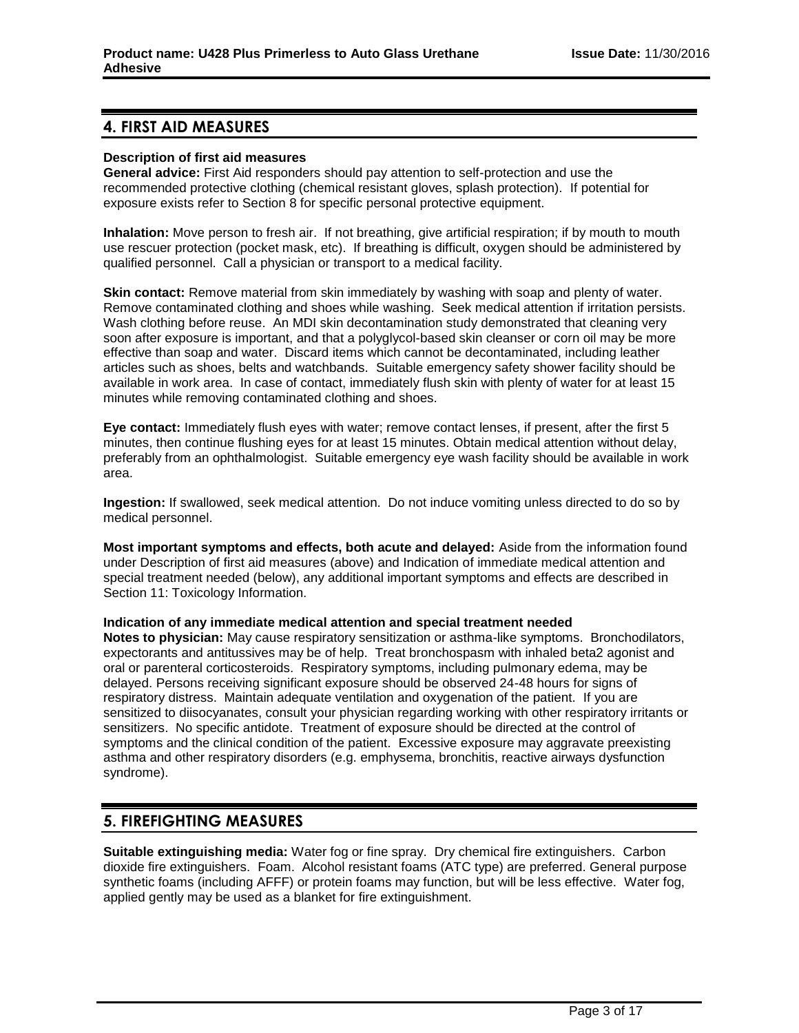# **4. FIRST AID MEASURES**

#### **Description of first aid measures**

**General advice:** First Aid responders should pay attention to self-protection and use the recommended protective clothing (chemical resistant gloves, splash protection). If potential for exposure exists refer to Section 8 for specific personal protective equipment.

**Inhalation:** Move person to fresh air. If not breathing, give artificial respiration; if by mouth to mouth use rescuer protection (pocket mask, etc). If breathing is difficult, oxygen should be administered by qualified personnel. Call a physician or transport to a medical facility.

**Skin contact:** Remove material from skin immediately by washing with soap and plenty of water. Remove contaminated clothing and shoes while washing. Seek medical attention if irritation persists. Wash clothing before reuse. An MDI skin decontamination study demonstrated that cleaning very soon after exposure is important, and that a polyglycol-based skin cleanser or corn oil may be more effective than soap and water. Discard items which cannot be decontaminated, including leather articles such as shoes, belts and watchbands. Suitable emergency safety shower facility should be available in work area. In case of contact, immediately flush skin with plenty of water for at least 15 minutes while removing contaminated clothing and shoes.

**Eye contact:** Immediately flush eyes with water; remove contact lenses, if present, after the first 5 minutes, then continue flushing eyes for at least 15 minutes. Obtain medical attention without delay, preferably from an ophthalmologist. Suitable emergency eye wash facility should be available in work area.

**Ingestion:** If swallowed, seek medical attention. Do not induce vomiting unless directed to do so by medical personnel.

**Most important symptoms and effects, both acute and delayed:** Aside from the information found under Description of first aid measures (above) and Indication of immediate medical attention and special treatment needed (below), any additional important symptoms and effects are described in Section 11: Toxicology Information.

#### **Indication of any immediate medical attention and special treatment needed**

**Notes to physician:** May cause respiratory sensitization or asthma-like symptoms. Bronchodilators, expectorants and antitussives may be of help. Treat bronchospasm with inhaled beta2 agonist and oral or parenteral corticosteroids. Respiratory symptoms, including pulmonary edema, may be delayed. Persons receiving significant exposure should be observed 24-48 hours for signs of respiratory distress. Maintain adequate ventilation and oxygenation of the patient. If you are sensitized to diisocyanates, consult your physician regarding working with other respiratory irritants or sensitizers. No specific antidote. Treatment of exposure should be directed at the control of symptoms and the clinical condition of the patient. Excessive exposure may aggravate preexisting asthma and other respiratory disorders (e.g. emphysema, bronchitis, reactive airways dysfunction syndrome).

# **5. FIREFIGHTING MEASURES**

**Suitable extinguishing media:** Water fog or fine spray. Dry chemical fire extinguishers. Carbon dioxide fire extinguishers. Foam. Alcohol resistant foams (ATC type) are preferred. General purpose synthetic foams (including AFFF) or protein foams may function, but will be less effective. Water fog, applied gently may be used as a blanket for fire extinguishment.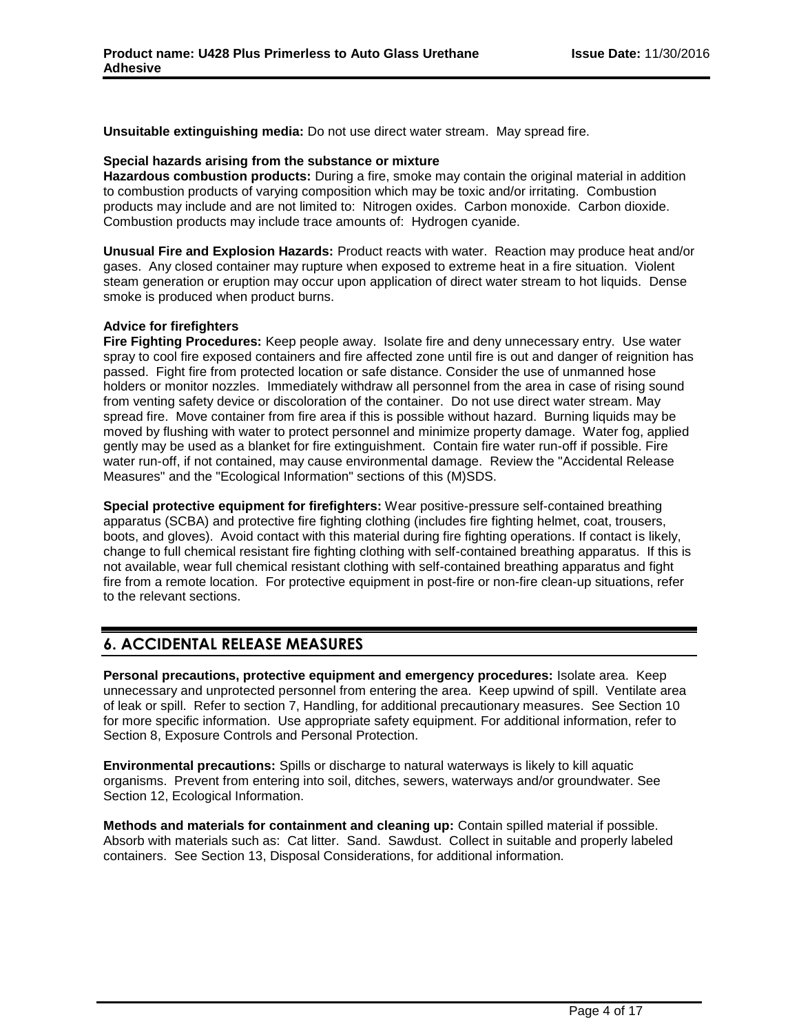**Unsuitable extinguishing media:** Do not use direct water stream. May spread fire.

#### **Special hazards arising from the substance or mixture**

**Hazardous combustion products:** During a fire, smoke may contain the original material in addition to combustion products of varying composition which may be toxic and/or irritating. Combustion products may include and are not limited to: Nitrogen oxides. Carbon monoxide. Carbon dioxide. Combustion products may include trace amounts of: Hydrogen cyanide.

**Unusual Fire and Explosion Hazards:** Product reacts with water. Reaction may produce heat and/or gases. Any closed container may rupture when exposed to extreme heat in a fire situation. Violent steam generation or eruption may occur upon application of direct water stream to hot liquids. Dense smoke is produced when product burns.

## **Advice for firefighters**

**Fire Fighting Procedures:** Keep people away. Isolate fire and deny unnecessary entry. Use water spray to cool fire exposed containers and fire affected zone until fire is out and danger of reignition has passed. Fight fire from protected location or safe distance. Consider the use of unmanned hose holders or monitor nozzles. Immediately withdraw all personnel from the area in case of rising sound from venting safety device or discoloration of the container. Do not use direct water stream. May spread fire. Move container from fire area if this is possible without hazard. Burning liquids may be moved by flushing with water to protect personnel and minimize property damage. Water fog, applied gently may be used as a blanket for fire extinguishment. Contain fire water run-off if possible. Fire water run-off, if not contained, may cause environmental damage. Review the "Accidental Release Measures" and the "Ecological Information" sections of this (M)SDS.

**Special protective equipment for firefighters:** Wear positive-pressure self-contained breathing apparatus (SCBA) and protective fire fighting clothing (includes fire fighting helmet, coat, trousers, boots, and gloves). Avoid contact with this material during fire fighting operations. If contact is likely, change to full chemical resistant fire fighting clothing with self-contained breathing apparatus. If this is not available, wear full chemical resistant clothing with self-contained breathing apparatus and fight fire from a remote location. For protective equipment in post-fire or non-fire clean-up situations, refer to the relevant sections.

# **6. ACCIDENTAL RELEASE MEASURES**

**Personal precautions, protective equipment and emergency procedures:** Isolate area. Keep unnecessary and unprotected personnel from entering the area. Keep upwind of spill. Ventilate area of leak or spill. Refer to section 7, Handling, for additional precautionary measures. See Section 10 for more specific information. Use appropriate safety equipment. For additional information, refer to Section 8, Exposure Controls and Personal Protection.

**Environmental precautions:** Spills or discharge to natural waterways is likely to kill aquatic organisms. Prevent from entering into soil, ditches, sewers, waterways and/or groundwater. See Section 12, Ecological Information.

**Methods and materials for containment and cleaning up:** Contain spilled material if possible. Absorb with materials such as: Cat litter. Sand. Sawdust. Collect in suitable and properly labeled containers. See Section 13, Disposal Considerations, for additional information.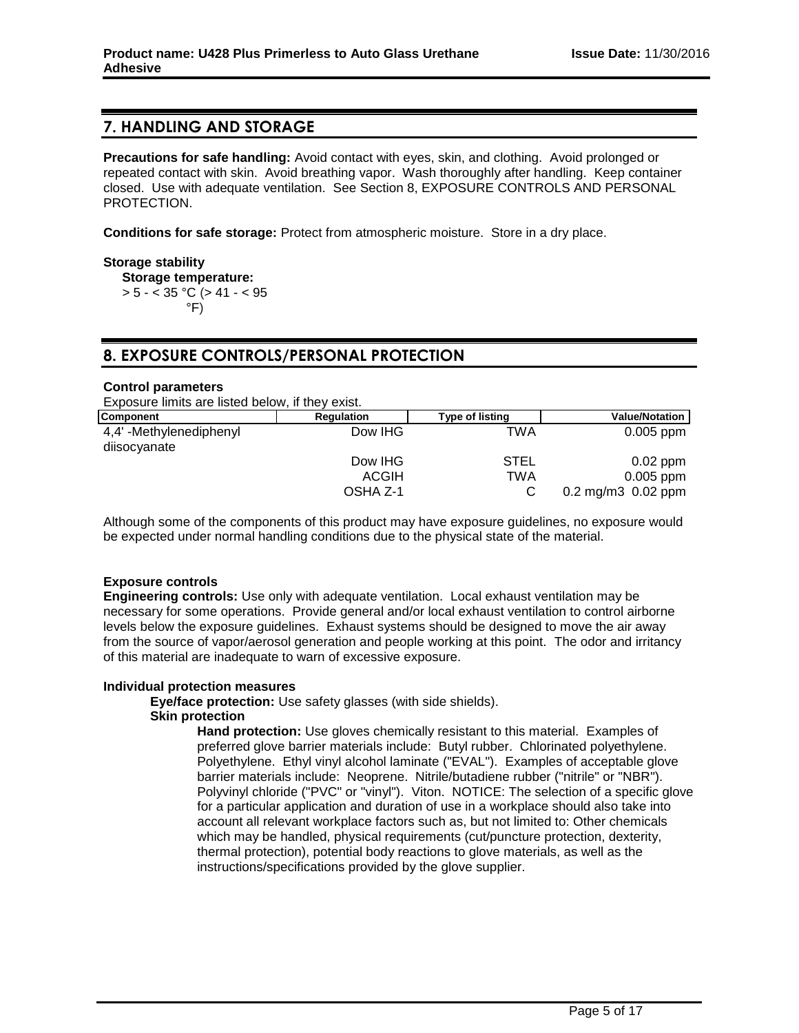# **7. HANDLING AND STORAGE**

**Precautions for safe handling:** Avoid contact with eyes, skin, and clothing. Avoid prolonged or repeated contact with skin. Avoid breathing vapor. Wash thoroughly after handling. Keep container closed. Use with adequate ventilation. See Section 8, EXPOSURE CONTROLS AND PERSONAL PROTECTION.

**Conditions for safe storage:** Protect from atmospheric moisture. Store in a dry place.

## **Storage stability**

**Storage temperature:**  $> 5 - < 35$  °C ( $> 41 - < 95$ ) °F)

# **8. EXPOSURE CONTROLS/PERSONAL PROTECTION**

#### **Control parameters**

Exposure limits are listed below, if they exist.

| Component                               | <b>Regulation</b> | <b>Type of listing</b> | <b>Value/Notation</b>                      |
|-----------------------------------------|-------------------|------------------------|--------------------------------------------|
| 4,4' -Methylenediphenyl<br>diisocyanate | Dow IHG           | TWA                    | $0.005$ ppm                                |
|                                         | Dow IHG           | <b>STEL</b>            | $0.02$ ppm                                 |
|                                         | <b>ACGIH</b>      | TWA                    | $0.005$ ppm                                |
|                                         | OSHA Z-1          |                        | $0.2 \text{ mg/m}3 \cdot 0.02 \text{ ppm}$ |

Although some of the components of this product may have exposure guidelines, no exposure would be expected under normal handling conditions due to the physical state of the material.

# **Exposure controls**

**Engineering controls:** Use only with adequate ventilation. Local exhaust ventilation may be necessary for some operations. Provide general and/or local exhaust ventilation to control airborne levels below the exposure guidelines. Exhaust systems should be designed to move the air away from the source of vapor/aerosol generation and people working at this point. The odor and irritancy of this material are inadequate to warn of excessive exposure.

#### **Individual protection measures**

**Eye/face protection:** Use safety glasses (with side shields).

#### **Skin protection**

**Hand protection:** Use gloves chemically resistant to this material. Examples of preferred glove barrier materials include: Butyl rubber. Chlorinated polyethylene. Polyethylene. Ethyl vinyl alcohol laminate ("EVAL"). Examples of acceptable glove barrier materials include: Neoprene. Nitrile/butadiene rubber ("nitrile" or "NBR"). Polyvinyl chloride ("PVC" or "vinyl"). Viton. NOTICE: The selection of a specific glove for a particular application and duration of use in a workplace should also take into account all relevant workplace factors such as, but not limited to: Other chemicals which may be handled, physical requirements (cut/puncture protection, dexterity, thermal protection), potential body reactions to glove materials, as well as the instructions/specifications provided by the glove supplier.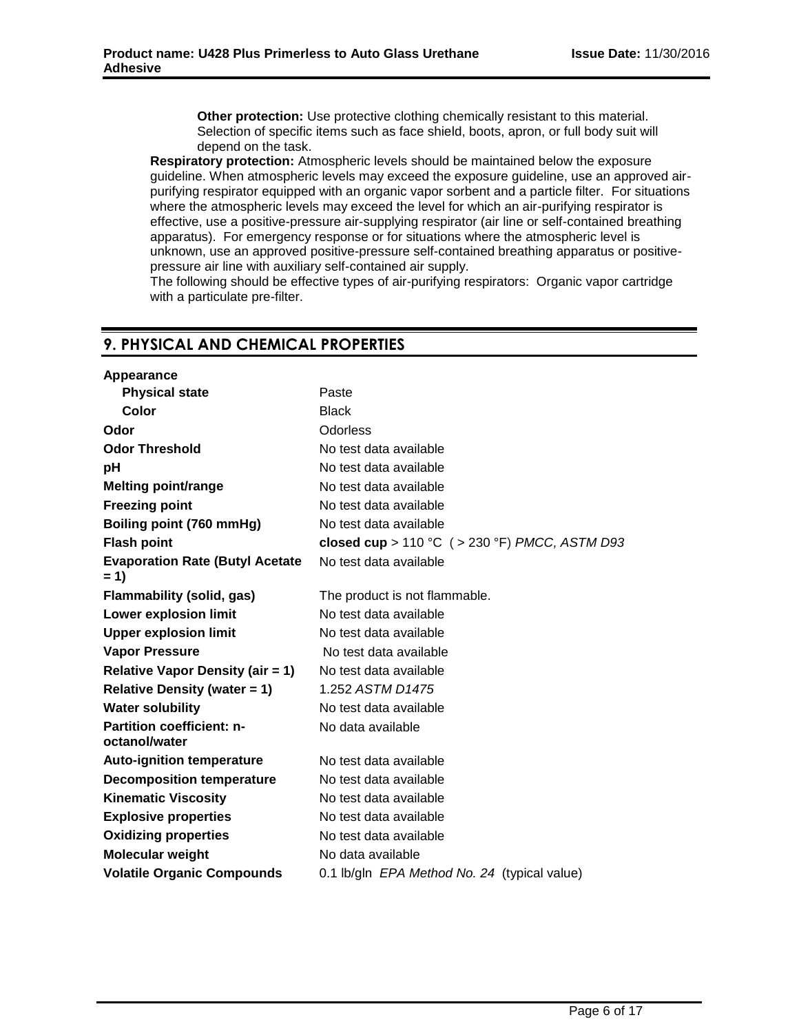**Other protection:** Use protective clothing chemically resistant to this material. Selection of specific items such as face shield, boots, apron, or full body suit will depend on the task.

**Respiratory protection:** Atmospheric levels should be maintained below the exposure guideline. When atmospheric levels may exceed the exposure guideline, use an approved airpurifying respirator equipped with an organic vapor sorbent and a particle filter. For situations where the atmospheric levels may exceed the level for which an air-purifying respirator is effective, use a positive-pressure air-supplying respirator (air line or self-contained breathing apparatus). For emergency response or for situations where the atmospheric level is unknown, use an approved positive-pressure self-contained breathing apparatus or positivepressure air line with auxiliary self-contained air supply.

The following should be effective types of air-purifying respirators: Organic vapor cartridge with a particulate pre-filter.

# **9. PHYSICAL AND CHEMICAL PROPERTIES**

| Appearance                                        |                                                |
|---------------------------------------------------|------------------------------------------------|
| <b>Physical state</b>                             | Paste                                          |
| Color                                             | <b>Black</b>                                   |
| Odor                                              | Odorless                                       |
| <b>Odor Threshold</b>                             | No test data available                         |
| рH                                                | No test data available                         |
| <b>Melting point/range</b>                        | No test data available                         |
| <b>Freezing point</b>                             | No test data available                         |
| Boiling point (760 mmHg)                          | No test data available                         |
| <b>Flash point</b>                                | closed cup > 110 °C ( > 230 °F) PMCC, ASTM D93 |
| <b>Evaporation Rate (Butyl Acetate</b><br>$= 1$   | No test data available                         |
| <b>Flammability (solid, gas)</b>                  | The product is not flammable.                  |
| <b>Lower explosion limit</b>                      | No test data available                         |
| <b>Upper explosion limit</b>                      | No test data available                         |
| <b>Vapor Pressure</b>                             | No test data available                         |
| <b>Relative Vapor Density (air = 1)</b>           | No test data available                         |
| <b>Relative Density (water = 1)</b>               | 1.252 ASTM D1475                               |
| <b>Water solubility</b>                           | No test data available                         |
| <b>Partition coefficient: n-</b><br>octanol/water | No data available                              |
| <b>Auto-ignition temperature</b>                  | No test data available                         |
| <b>Decomposition temperature</b>                  | No test data available                         |
| <b>Kinematic Viscosity</b>                        | No test data available                         |
| <b>Explosive properties</b>                       | No test data available                         |
| <b>Oxidizing properties</b>                       | No test data available                         |
| <b>Molecular weight</b>                           | No data available                              |
| <b>Volatile Organic Compounds</b>                 | 0.1 lb/gln EPA Method No. 24 (typical value)   |
|                                                   |                                                |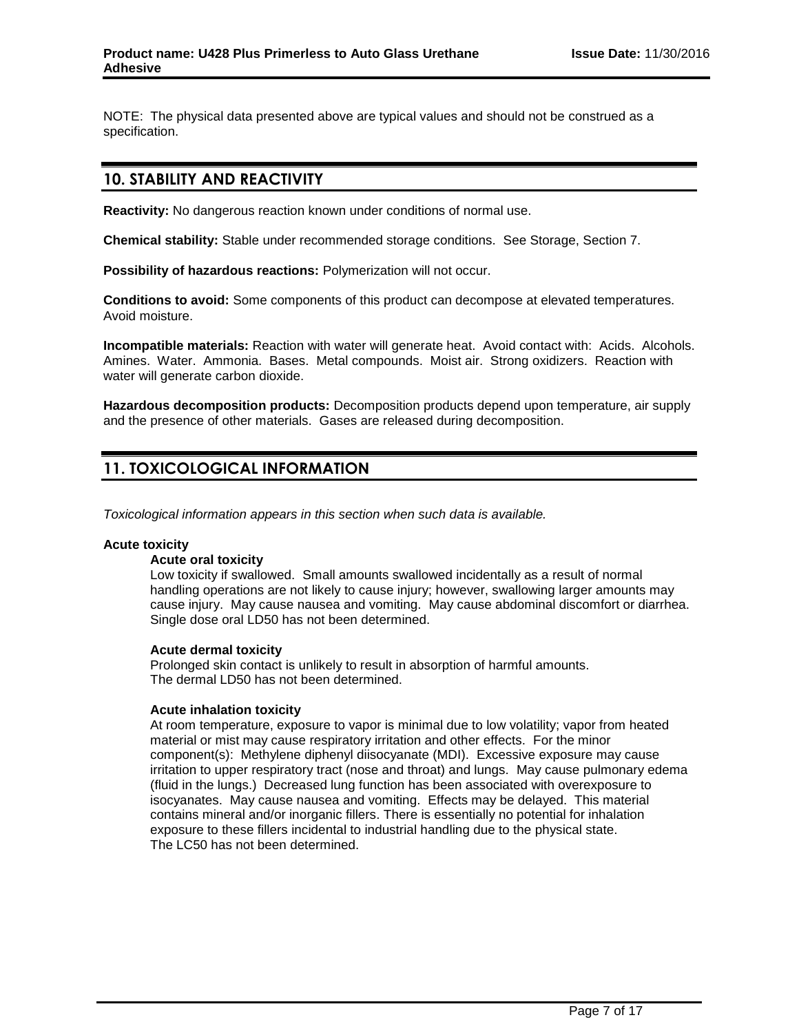NOTE: The physical data presented above are typical values and should not be construed as a specification.

# **10. STABILITY AND REACTIVITY**

**Reactivity:** No dangerous reaction known under conditions of normal use.

**Chemical stability:** Stable under recommended storage conditions. See Storage, Section 7.

**Possibility of hazardous reactions:** Polymerization will not occur.

**Conditions to avoid:** Some components of this product can decompose at elevated temperatures. Avoid moisture.

**Incompatible materials:** Reaction with water will generate heat. Avoid contact with: Acids. Alcohols. Amines. Water. Ammonia. Bases. Metal compounds. Moist air. Strong oxidizers. Reaction with water will generate carbon dioxide.

**Hazardous decomposition products:** Decomposition products depend upon temperature, air supply and the presence of other materials. Gases are released during decomposition.

# **11. TOXICOLOGICAL INFORMATION**

*Toxicological information appears in this section when such data is available.*

#### **Acute toxicity**

#### **Acute oral toxicity**

Low toxicity if swallowed. Small amounts swallowed incidentally as a result of normal handling operations are not likely to cause injury; however, swallowing larger amounts may cause injury. May cause nausea and vomiting. May cause abdominal discomfort or diarrhea. Single dose oral LD50 has not been determined.

#### **Acute dermal toxicity**

Prolonged skin contact is unlikely to result in absorption of harmful amounts. The dermal LD50 has not been determined.

#### **Acute inhalation toxicity**

At room temperature, exposure to vapor is minimal due to low volatility; vapor from heated material or mist may cause respiratory irritation and other effects. For the minor component(s): Methylene diphenyl diisocyanate (MDI). Excessive exposure may cause irritation to upper respiratory tract (nose and throat) and lungs. May cause pulmonary edema (fluid in the lungs.) Decreased lung function has been associated with overexposure to isocyanates. May cause nausea and vomiting. Effects may be delayed. This material contains mineral and/or inorganic fillers. There is essentially no potential for inhalation exposure to these fillers incidental to industrial handling due to the physical state. The LC50 has not been determined.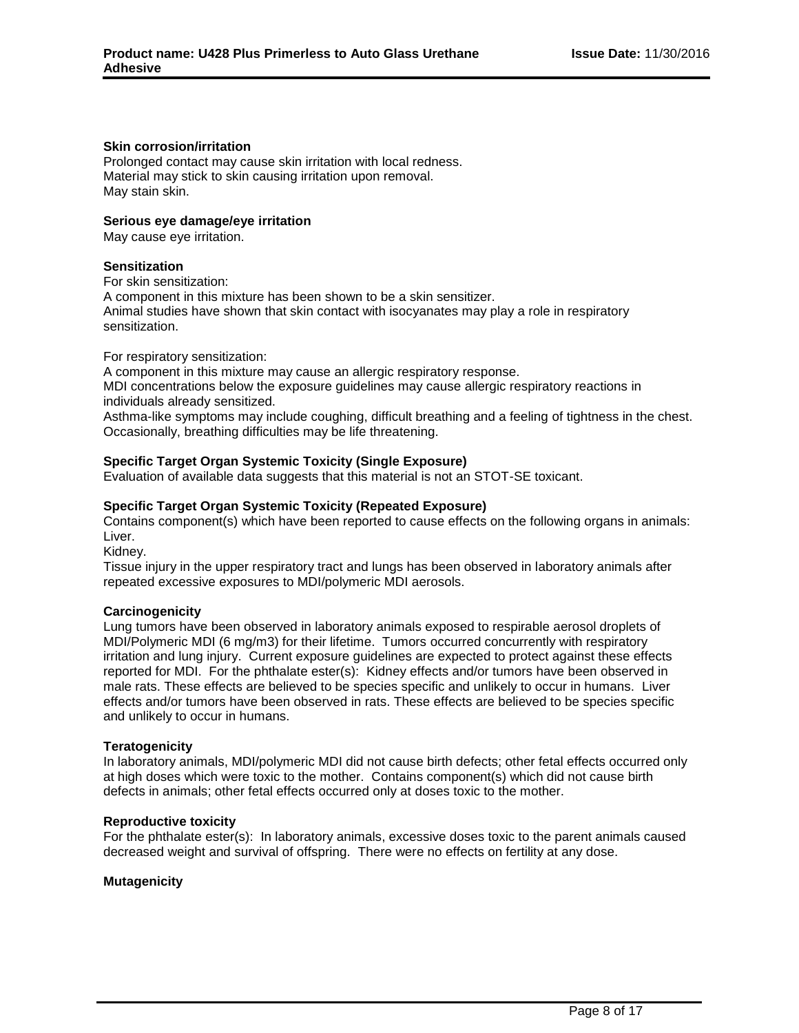#### **Skin corrosion/irritation**

Prolonged contact may cause skin irritation with local redness. Material may stick to skin causing irritation upon removal. May stain skin.

#### **Serious eye damage/eye irritation**

May cause eye irritation.

## **Sensitization**

For skin sensitization:

A component in this mixture has been shown to be a skin sensitizer. Animal studies have shown that skin contact with isocyanates may play a role in respiratory sensitization.

For respiratory sensitization:

A component in this mixture may cause an allergic respiratory response.

MDI concentrations below the exposure guidelines may cause allergic respiratory reactions in individuals already sensitized.

Asthma-like symptoms may include coughing, difficult breathing and a feeling of tightness in the chest. Occasionally, breathing difficulties may be life threatening.

# **Specific Target Organ Systemic Toxicity (Single Exposure)**

Evaluation of available data suggests that this material is not an STOT-SE toxicant.

## **Specific Target Organ Systemic Toxicity (Repeated Exposure)**

Contains component(s) which have been reported to cause effects on the following organs in animals: Liver.

Kidney.

Tissue injury in the upper respiratory tract and lungs has been observed in laboratory animals after repeated excessive exposures to MDI/polymeric MDI aerosols.

#### **Carcinogenicity**

Lung tumors have been observed in laboratory animals exposed to respirable aerosol droplets of MDI/Polymeric MDI (6 mg/m3) for their lifetime. Tumors occurred concurrently with respiratory irritation and lung injury. Current exposure guidelines are expected to protect against these effects reported for MDI. For the phthalate ester(s): Kidney effects and/or tumors have been observed in male rats. These effects are believed to be species specific and unlikely to occur in humans. Liver effects and/or tumors have been observed in rats. These effects are believed to be species specific and unlikely to occur in humans.

#### **Teratogenicity**

In laboratory animals, MDI/polymeric MDI did not cause birth defects; other fetal effects occurred only at high doses which were toxic to the mother. Contains component(s) which did not cause birth defects in animals; other fetal effects occurred only at doses toxic to the mother.

#### **Reproductive toxicity**

For the phthalate ester(s): In laboratory animals, excessive doses toxic to the parent animals caused decreased weight and survival of offspring. There were no effects on fertility at any dose.

#### **Mutagenicity**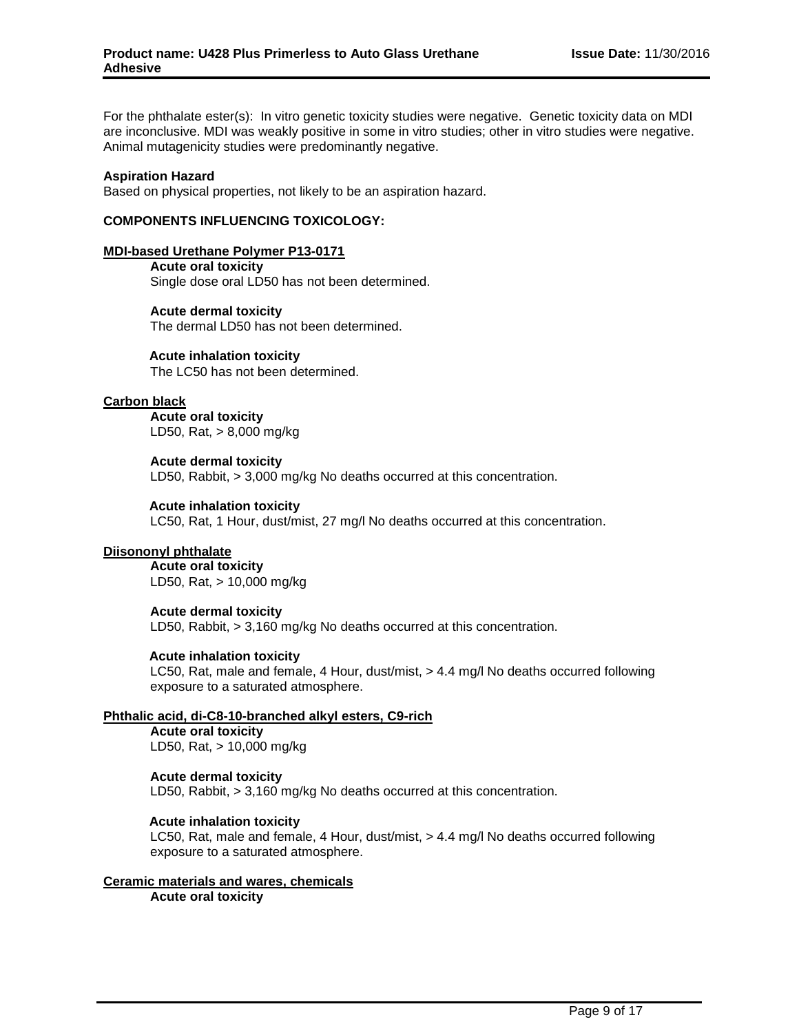For the phthalate ester(s): In vitro genetic toxicity studies were negative. Genetic toxicity data on MDI are inconclusive. MDI was weakly positive in some in vitro studies; other in vitro studies were negative. Animal mutagenicity studies were predominantly negative.

#### **Aspiration Hazard**

Based on physical properties, not likely to be an aspiration hazard.

## **COMPONENTS INFLUENCING TOXICOLOGY:**

#### **MDI-based Urethane Polymer P13-0171**

**Acute oral toxicity** Single dose oral LD50 has not been determined.

# **Acute dermal toxicity**

The dermal LD50 has not been determined.

#### **Acute inhalation toxicity**

The LC50 has not been determined.

## **Carbon black**

**Acute oral toxicity** LD50, Rat, > 8,000 mg/kg

#### **Acute dermal toxicity** LD50, Rabbit, > 3,000 mg/kg No deaths occurred at this concentration.

## **Acute inhalation toxicity**

LC50, Rat, 1 Hour, dust/mist, 27 mg/l No deaths occurred at this concentration.

#### **Diisononyl phthalate**

**Acute oral toxicity** LD50, Rat, > 10,000 mg/kg

#### **Acute dermal toxicity**

LD50, Rabbit, > 3,160 mg/kg No deaths occurred at this concentration.

#### **Acute inhalation toxicity**

LC50, Rat, male and female, 4 Hour, dust/mist, > 4.4 mg/l No deaths occurred following exposure to a saturated atmosphere.

#### **Phthalic acid, di-C8-10-branched alkyl esters, C9-rich**

**Acute oral toxicity** LD50, Rat, > 10,000 mg/kg

# **Acute dermal toxicity**

LD50, Rabbit, > 3,160 mg/kg No deaths occurred at this concentration.

# **Acute inhalation toxicity**

LC50, Rat, male and female, 4 Hour, dust/mist, > 4.4 mg/l No deaths occurred following exposure to a saturated atmosphere.

# **Ceramic materials and wares, chemicals**

**Acute oral toxicity**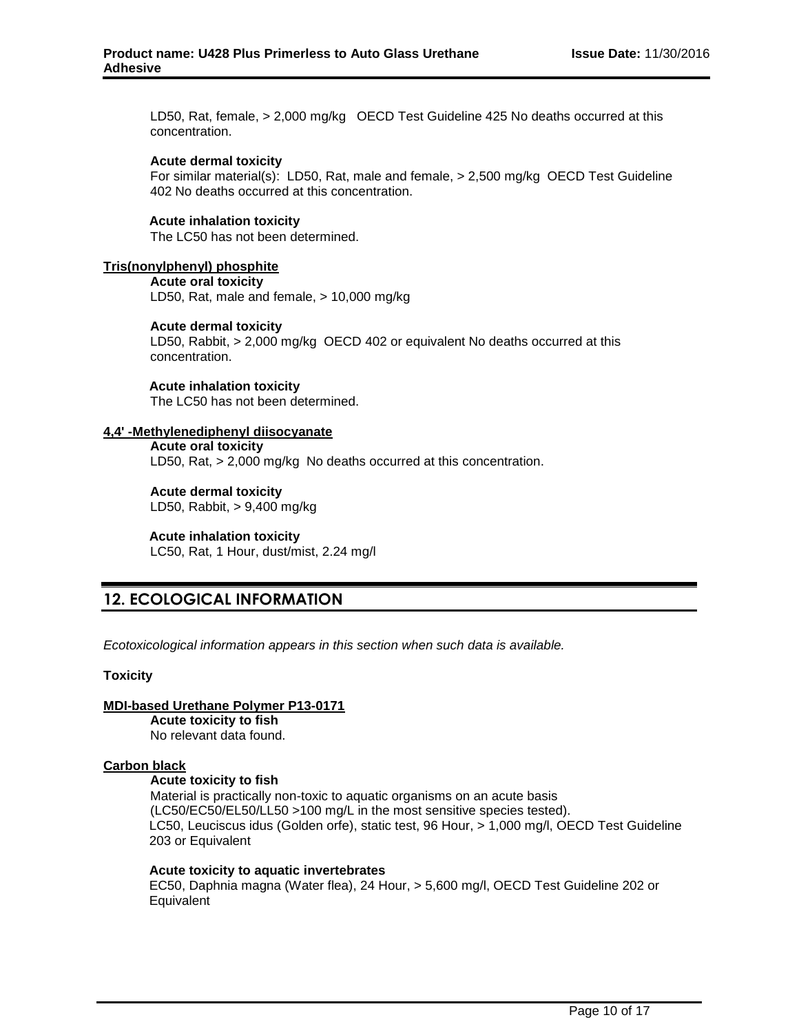LD50, Rat, female, > 2,000 mg/kg OECD Test Guideline 425 No deaths occurred at this concentration.

#### **Acute dermal toxicity**

For similar material(s): LD50, Rat, male and female, > 2,500 mg/kg OECD Test Guideline 402 No deaths occurred at this concentration.

## **Acute inhalation toxicity**

The LC50 has not been determined.

#### **Tris(nonylphenyl) phosphite**

**Acute oral toxicity**

LD50, Rat, male and female, > 10,000 mg/kg

#### **Acute dermal toxicity**

LD50, Rabbit, > 2,000 mg/kg OECD 402 or equivalent No deaths occurred at this concentration.

#### **Acute inhalation toxicity** The LC50 has not been determined.

# **4,4' -Methylenediphenyl diisocyanate**

**Acute oral toxicity** LD50, Rat, > 2,000 mg/kg No deaths occurred at this concentration.

**Acute dermal toxicity** LD50, Rabbit, > 9,400 mg/kg

# **Acute inhalation toxicity**

LC50, Rat, 1 Hour, dust/mist, 2.24 mg/l

# **12. ECOLOGICAL INFORMATION**

*Ecotoxicological information appears in this section when such data is available.*

#### **Toxicity**

# **MDI-based Urethane Polymer P13-0171**

**Acute toxicity to fish** No relevant data found.

#### **Carbon black**

#### **Acute toxicity to fish**

Material is practically non-toxic to aquatic organisms on an acute basis (LC50/EC50/EL50/LL50 >100 mg/L in the most sensitive species tested). LC50, Leuciscus idus (Golden orfe), static test, 96 Hour, > 1,000 mg/l, OECD Test Guideline 203 or Equivalent

#### **Acute toxicity to aquatic invertebrates**

EC50, Daphnia magna (Water flea), 24 Hour, > 5,600 mg/l, OECD Test Guideline 202 or **Equivalent**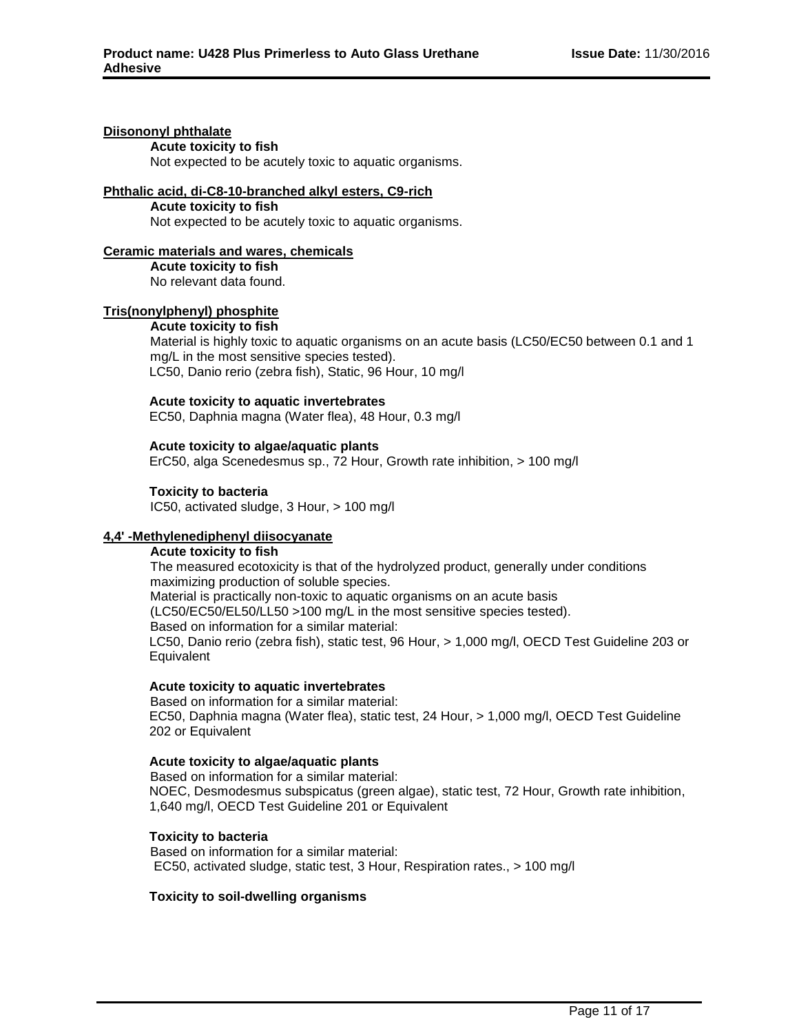# **Diisononyl phthalate**

**Acute toxicity to fish** Not expected to be acutely toxic to aquatic organisms.

#### **Phthalic acid, di-C8-10-branched alkyl esters, C9-rich**

**Acute toxicity to fish** Not expected to be acutely toxic to aquatic organisms.

## **Ceramic materials and wares, chemicals**

**Acute toxicity to fish** No relevant data found.

# **Tris(nonylphenyl) phosphite**

# **Acute toxicity to fish**

Material is highly toxic to aquatic organisms on an acute basis (LC50/EC50 between 0.1 and 1 mg/L in the most sensitive species tested). LC50, Danio rerio (zebra fish), Static, 96 Hour, 10 mg/l

## **Acute toxicity to aquatic invertebrates**

EC50, Daphnia magna (Water flea), 48 Hour, 0.3 mg/l

## **Acute toxicity to algae/aquatic plants**

ErC50, alga Scenedesmus sp., 72 Hour, Growth rate inhibition, > 100 mg/l

## **Toxicity to bacteria**

IC50, activated sludge, 3 Hour, > 100 mg/l

# **4,4' -Methylenediphenyl diisocyanate**

# **Acute toxicity to fish**

The measured ecotoxicity is that of the hydrolyzed product, generally under conditions maximizing production of soluble species. Material is practically non-toxic to aquatic organisms on an acute basis (LC50/EC50/EL50/LL50 >100 mg/L in the most sensitive species tested). Based on information for a similar material: LC50, Danio rerio (zebra fish), static test, 96 Hour, > 1,000 mg/l, OECD Test Guideline 203 or **Equivalent** 

#### **Acute toxicity to aquatic invertebrates**

Based on information for a similar material: EC50, Daphnia magna (Water flea), static test, 24 Hour, > 1,000 mg/l, OECD Test Guideline 202 or Equivalent

#### **Acute toxicity to algae/aquatic plants**

Based on information for a similar material: NOEC, Desmodesmus subspicatus (green algae), static test, 72 Hour, Growth rate inhibition, 1,640 mg/l, OECD Test Guideline 201 or Equivalent

# **Toxicity to bacteria**

Based on information for a similar material: EC50, activated sludge, static test, 3 Hour, Respiration rates., > 100 mg/l

# **Toxicity to soil-dwelling organisms**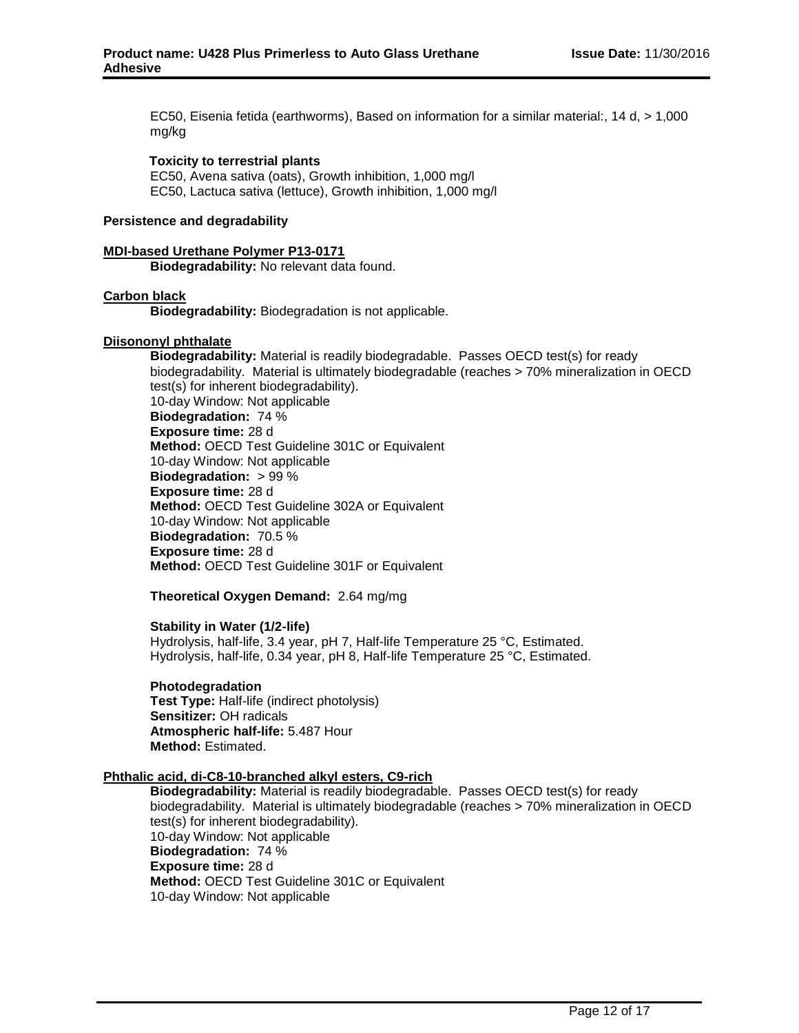EC50, Eisenia fetida (earthworms), Based on information for a similar material:, 14 d, > 1,000 mg/kg

#### **Toxicity to terrestrial plants**

EC50, Avena sativa (oats), Growth inhibition, 1,000 mg/l EC50, Lactuca sativa (lettuce), Growth inhibition, 1,000 mg/l

#### **Persistence and degradability**

#### **MDI-based Urethane Polymer P13-0171**

**Biodegradability:** No relevant data found.

#### **Carbon black**

**Biodegradability:** Biodegradation is not applicable.

#### **Diisononyl phthalate**

**Biodegradability:** Material is readily biodegradable. Passes OECD test(s) for ready biodegradability. Material is ultimately biodegradable (reaches > 70% mineralization in OECD test(s) for inherent biodegradability). 10-day Window: Not applicable **Biodegradation:** 74 % **Exposure time:** 28 d **Method:** OECD Test Guideline 301C or Equivalent 10-day Window: Not applicable **Biodegradation:** > 99 % **Exposure time:** 28 d **Method:** OECD Test Guideline 302A or Equivalent 10-day Window: Not applicable **Biodegradation:** 70.5 % **Exposure time:** 28 d **Method:** OECD Test Guideline 301F or Equivalent

#### **Theoretical Oxygen Demand:** 2.64 mg/mg

#### **Stability in Water (1/2-life)**

Hydrolysis, half-life, 3.4 year, pH 7, Half-life Temperature 25 °C, Estimated. Hydrolysis, half-life, 0.34 year, pH 8, Half-life Temperature 25 °C, Estimated.

#### **Photodegradation**

**Test Type:** Half-life (indirect photolysis) **Sensitizer:** OH radicals **Atmospheric half-life:** 5.487 Hour **Method:** Estimated.

#### **Phthalic acid, di-C8-10-branched alkyl esters, C9-rich**

**Biodegradability:** Material is readily biodegradable. Passes OECD test(s) for ready biodegradability. Material is ultimately biodegradable (reaches > 70% mineralization in OECD test(s) for inherent biodegradability). 10-day Window: Not applicable **Biodegradation:** 74 % **Exposure time:** 28 d **Method:** OECD Test Guideline 301C or Equivalent 10-day Window: Not applicable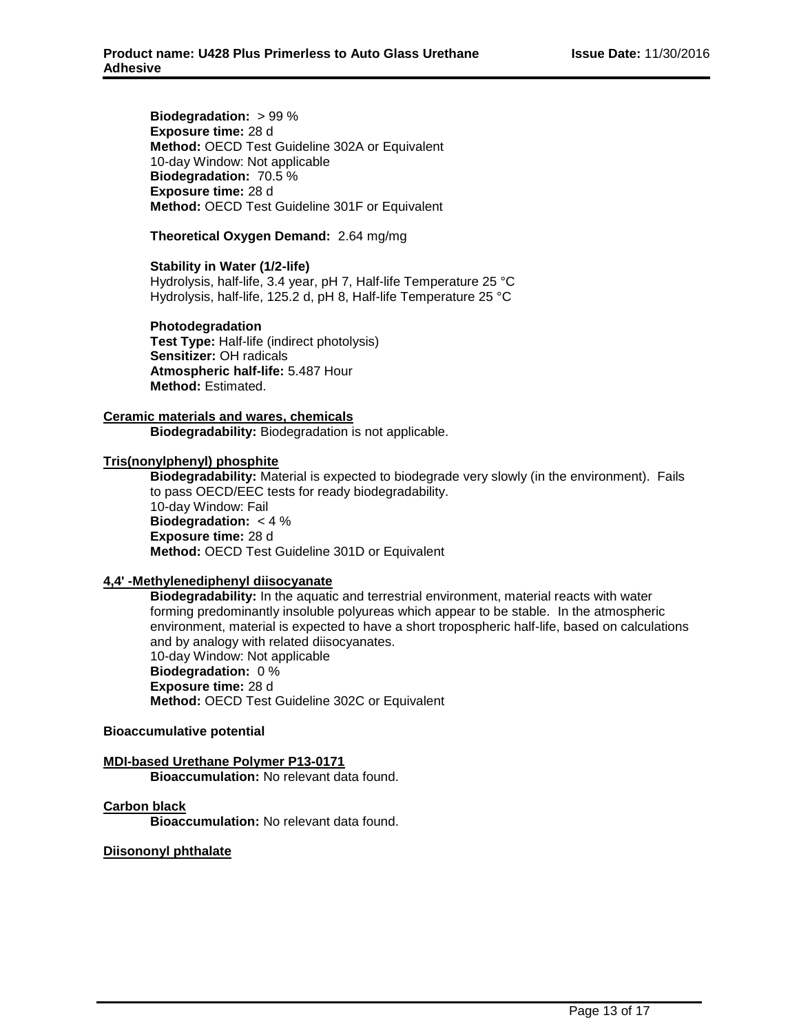**Biodegradation:** > 99 % **Exposure time:** 28 d **Method:** OECD Test Guideline 302A or Equivalent 10-day Window: Not applicable **Biodegradation:** 70.5 % **Exposure time:** 28 d **Method:** OECD Test Guideline 301F or Equivalent

### **Theoretical Oxygen Demand:** 2.64 mg/mg

#### **Stability in Water (1/2-life)**

Hydrolysis, half-life, 3.4 year, pH 7, Half-life Temperature 25 °C Hydrolysis, half-life, 125.2 d, pH 8, Half-life Temperature 25 °C

# **Photodegradation Test Type:** Half-life (indirect photolysis)

**Sensitizer:** OH radicals **Atmospheric half-life:** 5.487 Hour **Method:** Estimated.

#### **Ceramic materials and wares, chemicals**

**Biodegradability:** Biodegradation is not applicable.

#### **Tris(nonylphenyl) phosphite**

**Biodegradability:** Material is expected to biodegrade very slowly (in the environment). Fails to pass OECD/EEC tests for ready biodegradability. 10-day Window: Fail **Biodegradation:** < 4 % **Exposure time:** 28 d **Method:** OECD Test Guideline 301D or Equivalent

#### **4,4' -Methylenediphenyl diisocyanate**

**Biodegradability:** In the aquatic and terrestrial environment, material reacts with water forming predominantly insoluble polyureas which appear to be stable. In the atmospheric environment, material is expected to have a short tropospheric half-life, based on calculations and by analogy with related diisocyanates. 10-day Window: Not applicable **Biodegradation:** 0 % **Exposure time:** 28 d **Method:** OECD Test Guideline 302C or Equivalent

#### **Bioaccumulative potential**

#### **MDI-based Urethane Polymer P13-0171**

**Bioaccumulation:** No relevant data found.

## **Carbon black**

**Bioaccumulation:** No relevant data found.

#### **Diisononyl phthalate**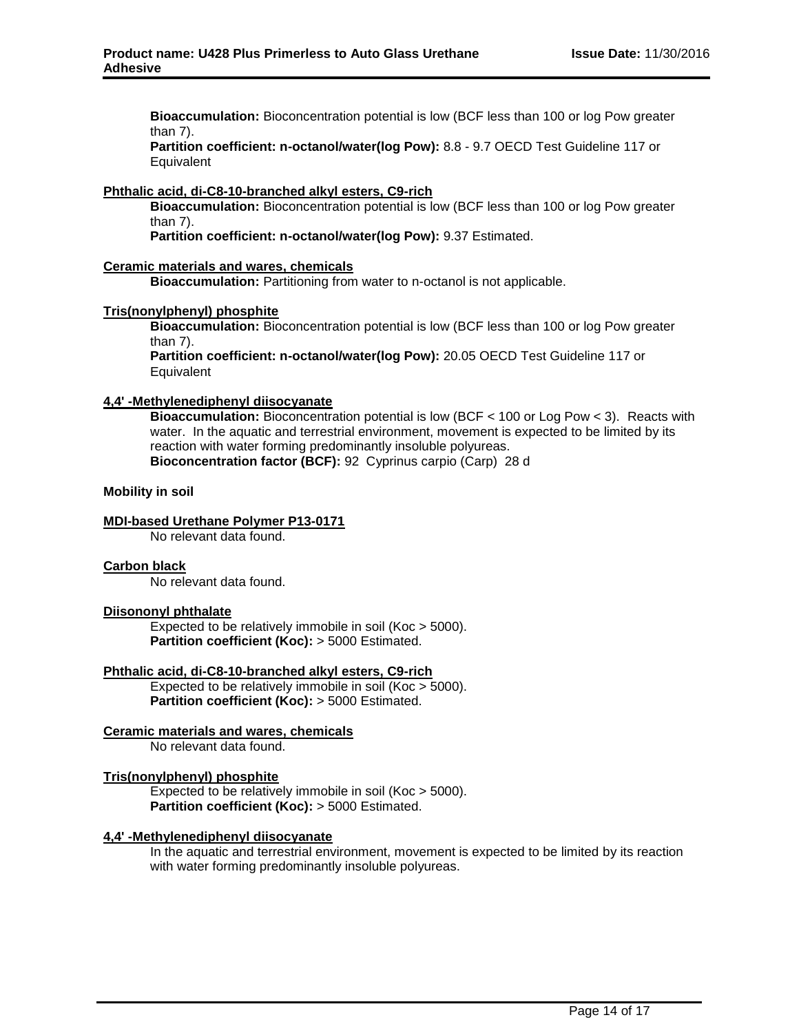**Bioaccumulation:** Bioconcentration potential is low (BCF less than 100 or log Pow greater than 7).

**Partition coefficient: n-octanol/water(log Pow):** 8.8 - 9.7 OECD Test Guideline 117 or **Equivalent** 

## **Phthalic acid, di-C8-10-branched alkyl esters, C9-rich**

**Bioaccumulation:** Bioconcentration potential is low (BCF less than 100 or log Pow greater than 7).

**Partition coefficient: n-octanol/water(log Pow):** 9.37 Estimated.

#### **Ceramic materials and wares, chemicals**

**Bioaccumulation:** Partitioning from water to n-octanol is not applicable.

#### **Tris(nonylphenyl) phosphite**

**Bioaccumulation:** Bioconcentration potential is low (BCF less than 100 or log Pow greater than 7).

**Partition coefficient: n-octanol/water(log Pow):** 20.05 OECD Test Guideline 117 or Equivalent

## **4,4' -Methylenediphenyl diisocyanate**

**Bioaccumulation:** Bioconcentration potential is low (BCF < 100 or Log Pow < 3). Reacts with water. In the aquatic and terrestrial environment, movement is expected to be limited by its reaction with water forming predominantly insoluble polyureas. **Bioconcentration factor (BCF):** 92 Cyprinus carpio (Carp) 28 d

#### **Mobility in soil**

## **MDI-based Urethane Polymer P13-0171**

No relevant data found.

#### **Carbon black**

No relevant data found.

#### **Diisononyl phthalate**

Expected to be relatively immobile in soil (Koc > 5000). **Partition coefficient (Koc):** > 5000 Estimated.

#### **Phthalic acid, di-C8-10-branched alkyl esters, C9-rich**

Expected to be relatively immobile in soil (Koc > 5000). **Partition coefficient (Koc):** > 5000 Estimated.

#### **Ceramic materials and wares, chemicals**

No relevant data found.

#### **Tris(nonylphenyl) phosphite**

Expected to be relatively immobile in soil (Koc > 5000). **Partition coefficient (Koc):** > 5000 Estimated.

#### **4,4' -Methylenediphenyl diisocyanate**

In the aquatic and terrestrial environment, movement is expected to be limited by its reaction with water forming predominantly insoluble polyureas.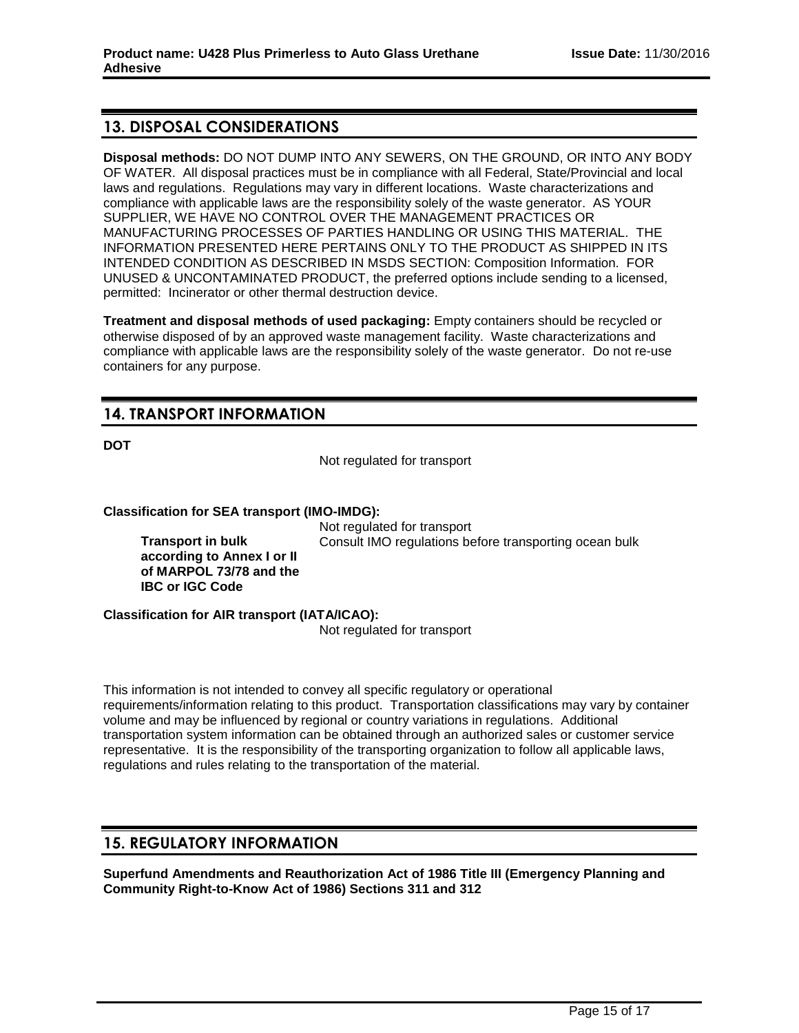# **13. DISPOSAL CONSIDERATIONS**

**Disposal methods:** DO NOT DUMP INTO ANY SEWERS, ON THE GROUND, OR INTO ANY BODY OF WATER. All disposal practices must be in compliance with all Federal, State/Provincial and local laws and regulations. Regulations may vary in different locations. Waste characterizations and compliance with applicable laws are the responsibility solely of the waste generator. AS YOUR SUPPLIER, WE HAVE NO CONTROL OVER THE MANAGEMENT PRACTICES OR MANUFACTURING PROCESSES OF PARTIES HANDLING OR USING THIS MATERIAL. THE INFORMATION PRESENTED HERE PERTAINS ONLY TO THE PRODUCT AS SHIPPED IN ITS INTENDED CONDITION AS DESCRIBED IN MSDS SECTION: Composition Information. FOR UNUSED & UNCONTAMINATED PRODUCT, the preferred options include sending to a licensed, permitted: Incinerator or other thermal destruction device.

**Treatment and disposal methods of used packaging:** Empty containers should be recycled or otherwise disposed of by an approved waste management facility. Waste characterizations and compliance with applicable laws are the responsibility solely of the waste generator. Do not re-use containers for any purpose.

# **14. TRANSPORT INFORMATION**

**DOT**

Not regulated for transport

#### **Classification for SEA transport (IMO-IMDG):**

Not regulated for transport Consult IMO regulations before transporting ocean bulk

**Transport in bulk according to Annex I or II of MARPOL 73/78 and the IBC or IGC Code**

**Classification for AIR transport (IATA/ICAO):**

Not regulated for transport

This information is not intended to convey all specific regulatory or operational requirements/information relating to this product. Transportation classifications may vary by container volume and may be influenced by regional or country variations in regulations. Additional transportation system information can be obtained through an authorized sales or customer service representative. It is the responsibility of the transporting organization to follow all applicable laws, regulations and rules relating to the transportation of the material.

# **15. REGULATORY INFORMATION**

**Superfund Amendments and Reauthorization Act of 1986 Title III (Emergency Planning and Community Right-to-Know Act of 1986) Sections 311 and 312**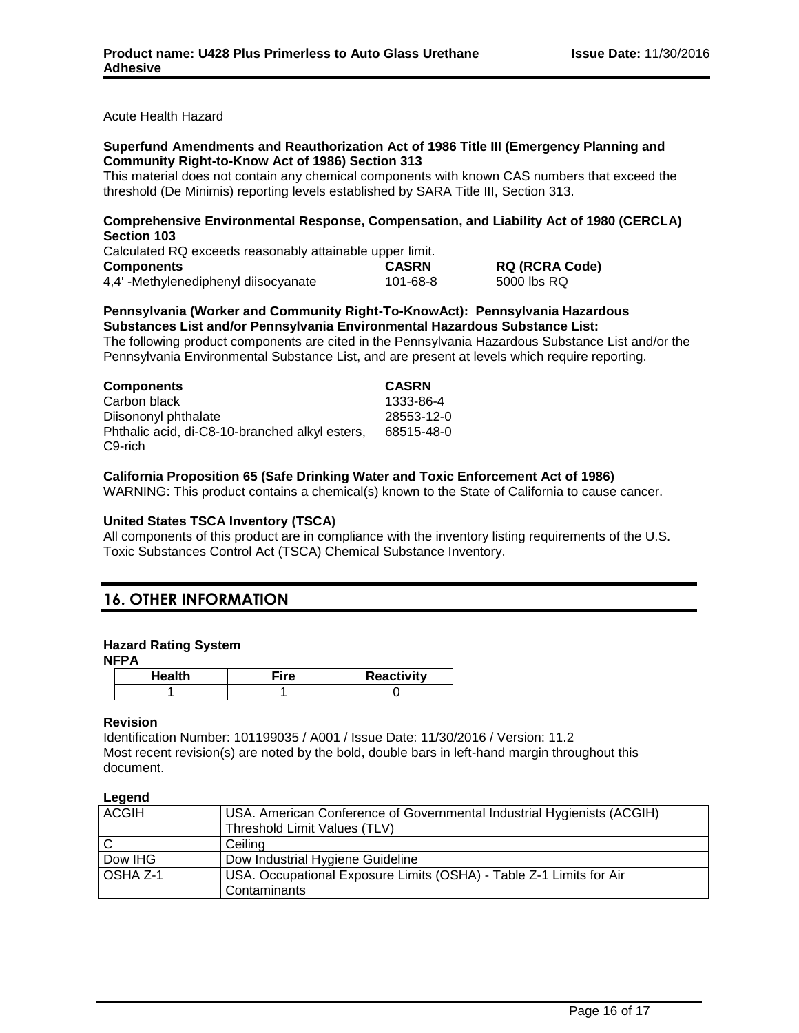Acute Health Hazard

#### **Superfund Amendments and Reauthorization Act of 1986 Title III (Emergency Planning and Community Right-to-Know Act of 1986) Section 313**

This material does not contain any chemical components with known CAS numbers that exceed the threshold (De Minimis) reporting levels established by SARA Title III, Section 313.

## **Comprehensive Environmental Response, Compensation, and Liability Act of 1980 (CERCLA) Section 103**

| Calculated RQ exceeds reasonably attainable upper limit. |              |                       |
|----------------------------------------------------------|--------------|-----------------------|
| <b>Components</b>                                        | <b>CASRN</b> | <b>RQ (RCRA Code)</b> |
| 4,4'-Methylenediphenyl diisocyanate                      | 101-68-8     | 5000 lbs RQ           |

#### **Pennsylvania (Worker and Community Right-To-KnowAct): Pennsylvania Hazardous Substances List and/or Pennsylvania Environmental Hazardous Substance List:**

The following product components are cited in the Pennsylvania Hazardous Substance List and/or the Pennsylvania Environmental Substance List, and are present at levels which require reporting.

| <b>Components</b>                              | <b>CASRN</b> |
|------------------------------------------------|--------------|
| Carbon black                                   | 1333-86-4    |
| Diisononyl phthalate                           | 28553-12-0   |
| Phthalic acid, di-C8-10-branched alkyl esters, | 68515-48-0   |
| C9-rich                                        |              |

# **California Proposition 65 (Safe Drinking Water and Toxic Enforcement Act of 1986)**

WARNING: This product contains a chemical(s) known to the State of California to cause cancer.

#### **United States TSCA Inventory (TSCA)**

All components of this product are in compliance with the inventory listing requirements of the U.S. Toxic Substances Control Act (TSCA) Chemical Substance Inventory.

# **16. OTHER INFORMATION**

#### **Hazard Rating System**

**NFPA**

| Health | <b>Reactivity</b> |
|--------|-------------------|
|        |                   |

#### **Revision**

Identification Number: 101199035 / A001 / Issue Date: 11/30/2016 / Version: 11.2 Most recent revision(s) are noted by the bold, double bars in left-hand margin throughout this document.

| len<br>r |
|----------|
|----------|

| <b>ACGIH</b>   | USA. American Conference of Governmental Industrial Hygienists (ACGIH)              |
|----------------|-------------------------------------------------------------------------------------|
|                | Threshold Limit Values (TLV)                                                        |
| $\overline{C}$ | Ceiling                                                                             |
| Dow IHG        | Dow Industrial Hygiene Guideline                                                    |
| OSHA Z-1       | USA. Occupational Exposure Limits (OSHA) - Table Z-1 Limits for Air<br>Contaminants |